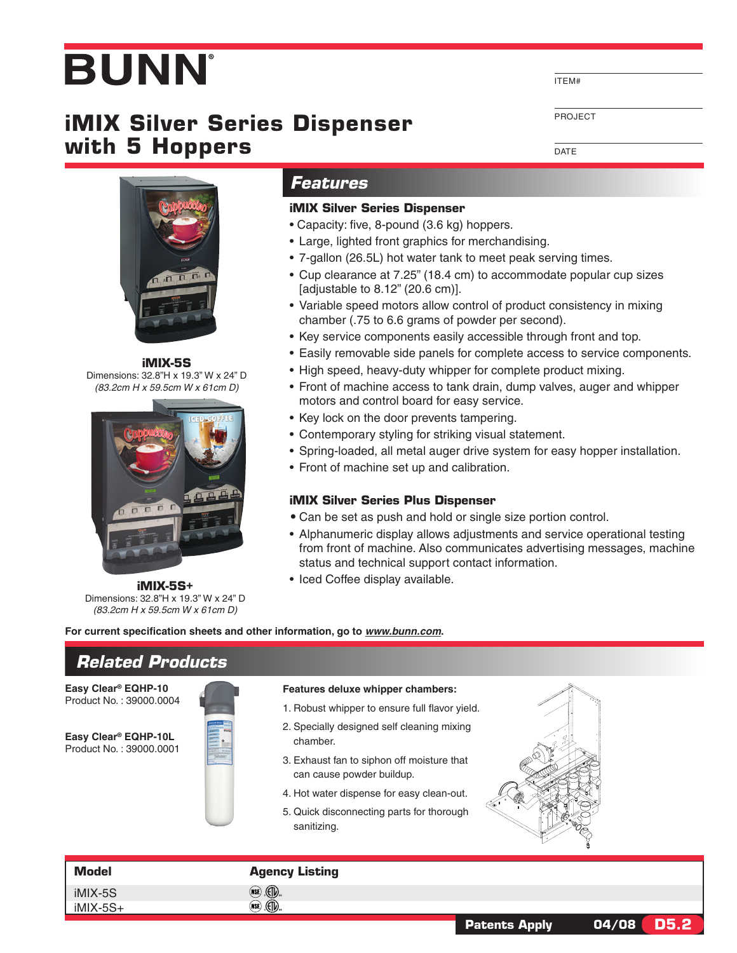# **BUNN**

# **iMIX Silver Series Dispenser with 5 Hoppers**

ITEM#

Project

**DATE** 



**iMIX-5S** Dimensions: 32.8"H x 19.3" W x 24" D *(83.2cm H x 59.5cm W x 61cm D)*



**iMIX-5S+** Dimensions: 32.8"H x 19.3" W x 24" D *(83.2cm H x 59.5cm W x 61cm D)*

**For current specification sheets and other information, go to** *www.bunn.com***.**

# *Related Products*

**Easy Clear® EQHP-10** Product No. : 39000.0004

**Easy Clear® EQHP-10L** Product No. : 39000.0001

| ú. |                      |   |  |
|----|----------------------|---|--|
|    |                      |   |  |
|    | EarpClear<br>٠       |   |  |
|    |                      |   |  |
|    | - 5<br>$\frac{1}{2}$ | ÷ |  |
|    | ÷<br>$\sim$          |   |  |
|    |                      |   |  |

# *Features*

#### **iMIX Silver Series Dispenser**

- Capacity: five, 8-pound (3.6 kg) hoppers.
- Large, lighted front graphics for merchandising.
- 7-gallon (26.5L) hot water tank to meet peak serving times.
- Cup clearance at 7.25" (18.4 cm) to accommodate popular cup sizes [adjustable to 8.12" (20.6 cm)].
- Variable speed motors allow control of product consistency in mixing chamber (.75 to 6.6 grams of powder per second).
- Key service components easily accessible through front and top.
- Easily removable side panels for complete access to service components.
- High speed, heavy-duty whipper for complete product mixing.
- Front of machine access to tank drain, dump valves, auger and whipper motors and control board for easy service.
- Key lock on the door prevents tampering.
- Contemporary styling for striking visual statement.
- Spring-loaded, all metal auger drive system for easy hopper installation.
- Front of machine set up and calibration.

#### **iMIX Silver Series Plus Dispenser**

- Can be set as push and hold or single size portion control.
- Alphanumeric display allows adjustments and service operational testing from front of machine. Also communicates advertising messages, machine status and technical support contact information.
- Iced Coffee display available.

# **Features deluxe whipper chambers:**

- 1. Robust whipper to ensure full flavor yield.
- 2. Specially designed self cleaning mixing chamber.
- 3. Exhaust fan to siphon off moisture that can cause powder buildup.
- 4. Hot water dispense for easy clean-out.
- 5. Quick disconnecting parts for thorough sanitizing.



### **Model Agency Listing**

 $(\widehat{\mathsf{NSE}})$ 



#### **Patents Apply 04/08 D5.2**